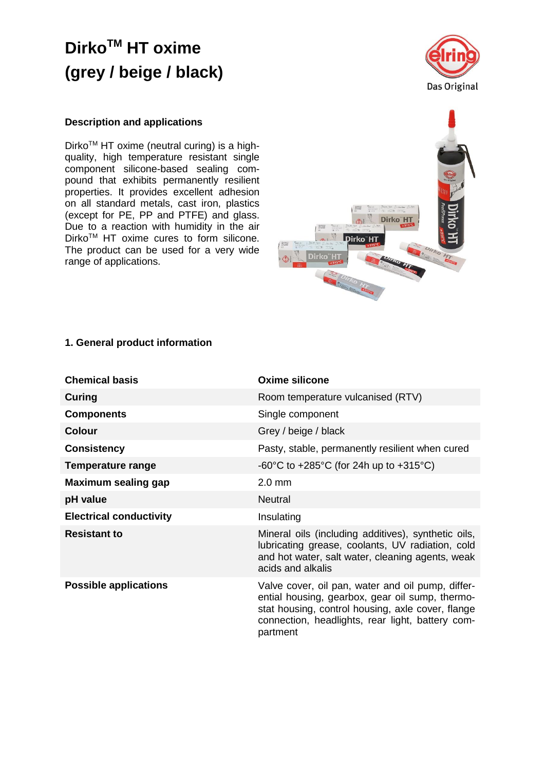

### **Description and applications**

Dirko<sup>™</sup> HT oxime (neutral curing) is a highquality, high temperature resistant single component silicone-based sealing compound that exhibits permanently resilient properties. It provides excellent adhesion on all standard metals, cast iron, plastics (except for PE, PP and PTFE) and glass. Due to a reaction with humidity in the air Dirko<sup>™</sup> HT oxime cures to form silicone. The product can be used for a very wide range of applications.



### **1. General product information**

| <b>Chemical basis</b>          | Oxime silicone                                                                                                                                                                                                            |  |
|--------------------------------|---------------------------------------------------------------------------------------------------------------------------------------------------------------------------------------------------------------------------|--|
| Curing                         | Room temperature vulcanised (RTV)                                                                                                                                                                                         |  |
| <b>Components</b>              | Single component                                                                                                                                                                                                          |  |
| <b>Colour</b>                  | Grey / beige / black                                                                                                                                                                                                      |  |
| <b>Consistency</b>             | Pasty, stable, permanently resilient when cured                                                                                                                                                                           |  |
| <b>Temperature range</b>       | $-60^{\circ}$ C to $+285^{\circ}$ C (for 24h up to $+315^{\circ}$ C)                                                                                                                                                      |  |
| Maximum sealing gap            | $2.0$ mm                                                                                                                                                                                                                  |  |
| pH value                       | <b>Neutral</b>                                                                                                                                                                                                            |  |
| <b>Electrical conductivity</b> | Insulating                                                                                                                                                                                                                |  |
| <b>Resistant to</b>            | Mineral oils (including additives), synthetic oils,<br>lubricating grease, coolants, UV radiation, cold<br>and hot water, salt water, cleaning agents, weak<br>acids and alkalis                                          |  |
| <b>Possible applications</b>   | Valve cover, oil pan, water and oil pump, differ-<br>ential housing, gearbox, gear oil sump, thermo-<br>stat housing, control housing, axle cover, flange<br>connection, headlights, rear light, battery com-<br>partment |  |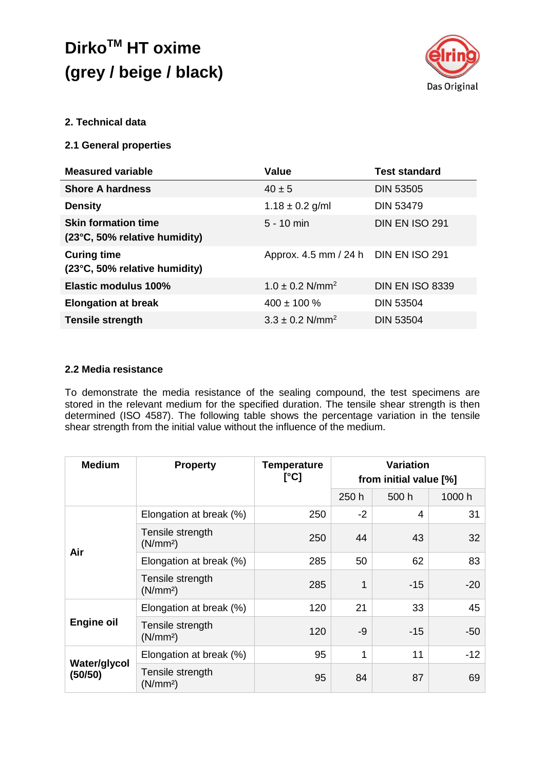

## **2. Technical data**

### **2.1 General properties**

| <b>Measured variable</b>                                    | Value                                 | <b>Test standard</b>   |
|-------------------------------------------------------------|---------------------------------------|------------------------|
| <b>Shore A hardness</b>                                     | $40 \pm 5$                            | <b>DIN 53505</b>       |
| <b>Density</b>                                              | $1.18 \pm 0.2$ g/ml                   | <b>DIN 53479</b>       |
| <b>Skin formation time</b><br>(23°C, 50% relative humidity) | $5 - 10$ min                          | <b>DIN EN ISO 291</b>  |
| <b>Curing time</b><br>(23°C, 50% relative humidity)         | Approx. 4.5 mm / 24 h  DIN EN ISO 291 |                        |
| Elastic modulus 100%                                        | $1.0 \pm 0.2$ N/mm <sup>2</sup>       | <b>DIN EN ISO 8339</b> |
| <b>Elongation at break</b>                                  | $400 \pm 100 \%$                      | <b>DIN 53504</b>       |
| <b>Tensile strength</b>                                     | $3.3 \pm 0.2$ N/mm <sup>2</sup>       | <b>DIN 53504</b>       |

### **2.2 Media resistance**

To demonstrate the media resistance of the sealing compound, the test specimens are stored in the relevant medium for the specified duration. The tensile shear strength is then determined (ISO 4587). The following table shows the percentage variation in the tensile shear strength from the initial value without the influence of the medium.

| <b>Medium</b>                  | <b>Property</b>                          | <b>Temperature</b><br>[°C] | <b>Variation</b><br>from initial value [%] |       |        |
|--------------------------------|------------------------------------------|----------------------------|--------------------------------------------|-------|--------|
|                                |                                          |                            | 250 h                                      | 500 h | 1000 h |
| Air                            | Elongation at break (%)                  | 250                        | $-2$                                       | 4     | 31     |
|                                | Tensile strength<br>(N/mm <sup>2</sup> ) | 250                        | 44                                         | 43    | 32     |
|                                | Elongation at break (%)                  | 285                        | 50                                         | 62    | 83     |
|                                | Tensile strength<br>(N/mm <sup>2</sup> ) | 285                        | 1                                          | $-15$ | $-20$  |
| <b>Engine oil</b>              | Elongation at break (%)                  | 120                        | 21                                         | 33    | 45     |
|                                | Tensile strength<br>(N/mm <sup>2</sup> ) | 120                        | -9                                         | $-15$ | $-50$  |
| <b>Water/glycol</b><br>(50/50) | Elongation at break (%)                  | 95                         | 1                                          | 11    | $-12$  |
|                                | Tensile strength<br>(N/mm <sup>2</sup> ) | 95                         | 84                                         | 87    | 69     |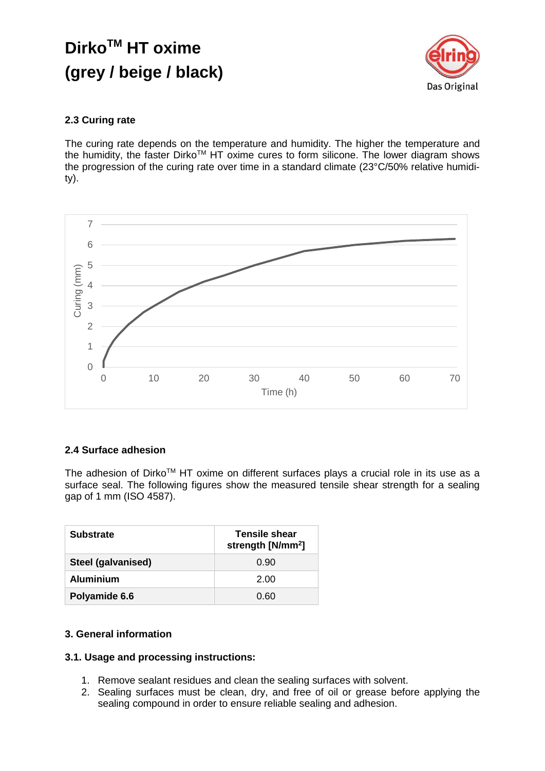

## **2.3 Curing rate**

The curing rate depends on the temperature and humidity. The higher the temperature and the humidity, the faster Dirko™ HT oxime cures to form silicone. The lower diagram shows the progression of the curing rate over time in a standard climate (23°C/50% relative humidity).



## **2.4 Surface adhesion**

The adhesion of Dirko™ HT oxime on different surfaces plays a crucial role in its use as a surface seal. The following figures show the measured tensile shear strength for a sealing gap of 1 mm (ISO 4587).

| <b>Substrate</b>   | <b>Tensile shear</b><br>strength [N/mm <sup>2</sup> ] |  |  |
|--------------------|-------------------------------------------------------|--|--|
| Steel (galvanised) | 0.90                                                  |  |  |
| <b>Aluminium</b>   | 2.00                                                  |  |  |
| Polyamide 6.6      | 0.60                                                  |  |  |

### **3. General information**

### **3.1. Usage and processing instructions:**

- 1. Remove sealant residues and clean the sealing surfaces with solvent.
- 2. Sealing surfaces must be clean, dry, and free of oil or grease before applying the sealing compound in order to ensure reliable sealing and adhesion.